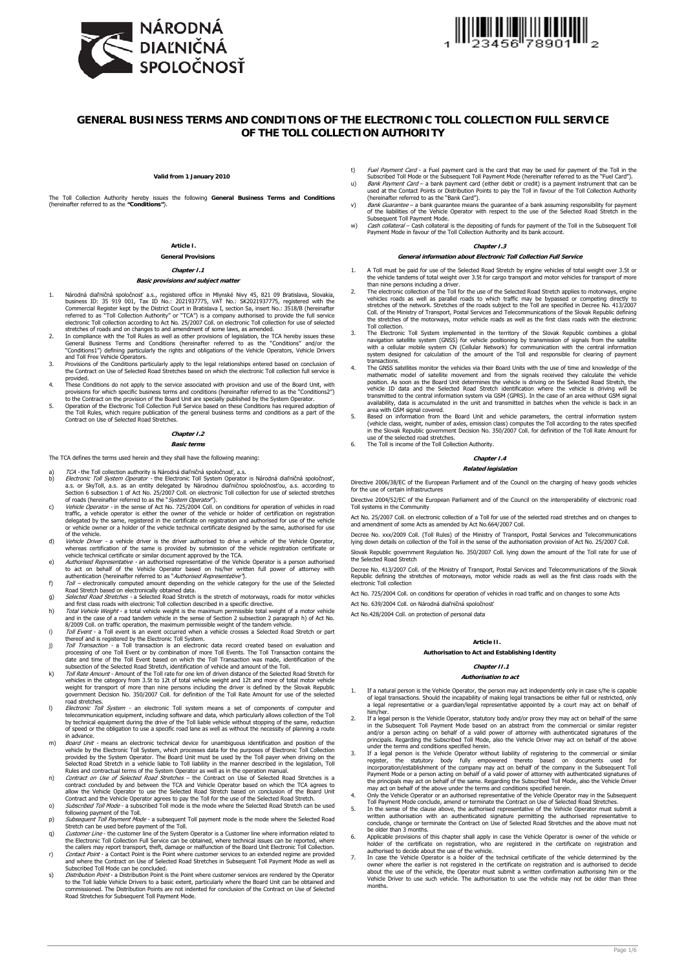



# **GENERAL BUSINESS TERMS AND CONDITIONS OF THE ELECTRONIC TOLL COLLECTION FULL SERVICE OF THE TOLL COLLECTION AUTHORITY**

**Valid from 1 January 2010** 

The Toll Collection Authority hereby issues the following **General Business Terms and Conditions** (hereinafter referred to as the **"Conditions"**).

**Article I.**

# **General Provisions Chapter I.1**

# **Basic provisions and subject matter**

- 1. Národná diaľničná spoločnosť a.s., registered office in Mlynské Nivy 45, 821 09 Bratislava, Slovakia, business ID: 35 919 001, Tax ID No.: 2021937775, VAT No.: SKO21937775, registered with the Commercial Register kept b
- and Toll Free Vehicle Operators.
- 3. Provisions of the Conditions particularly apply to the legal relationships entered based on conclusion of the Contract on Use of Selected Road Stretches based on which the electronic Toll collection full service is
- provided.<br>These Conditions do not apply to the service associated with provision and use of the Board Unit, with<br>provisions for which specific business terms and conditions (hereinafter referred to as the "Conditions2")<br>to
- 5. Operation of the Electronic Toll Collection Full Service based on these Conditions has required adoption of<br>the Toll Rules, which require publication of the general business terms and conditions as a part of the<br>Contrac

# **Chapter I.2**

**Basic terms** 

The TCA defines the terms used herein and they shall have the following meaning:

- 
- 
- a) TCA the Toll collection authority is Národná diaľničná spoločnosť, a.s. b) Electronic Toll System Operator the Electronic Toll System Operator is Národná diaľničná spoločnosť, a.s. or SkyToll, a.s. as an entity delegated by Národnou diaľničnou spoločnosťou, a.s. according to Section 6 subsection 1 of Act No. 25/2007 Coll. on electronic Toll collection for use of selected stretches of roads (hereinafter referred to as the "System Operator"). c) Vehicle Operator in the sense of Act No. 725/2004 Coll. on conditions for operation of vehicles in road traffic, a vehicle operator is either the owner of the vehicle or holder of certification on registration delegated by the same, registered in the certificate on registration and authorised for use of the vehicle or vehicle owner or a holder of the vehicle technical certificate designed by the same, authorised for use of the vehicle.
- d) une venicie.<br>d) Vehicle Driver a vehicle driver is the driver authorised to drive a vehicle of the Vehicle Operator, whereas certification of the same is provided by submission of the vehicle registration certificate or
- vehicle technical certificate or similar document approved by the TCA.<br>Authorised Representative an authorised representative of the Vehicle Operator is a person authorised<br>to act on behalf of the Vehicle Operator based
- f) Toll electronically computed amount depending on the vehicle category for the use of the Selected Road Stretch based on electronically obtained data.
- 
- Gelected Road Stretches a Selected Road Stretch is the stretch of motorways, roads for motor vehicles and first class roads with electronic Toll collection described in a specific directive.<br>Total Vehicle Weight a tot
- 
- thereof and is registered by the Electronic Toll System.<br>
j)  $Ioll$  Transaction a Toll transaction is an electronic data record created based on evaluation and<br>
processing of one Toll Event to by combination of more Toll
- <span id="page-0-0"></span>vehicles in the category from 3.5t to 12t of total vehicle weight and 12t and more of total motor vehicle<br>weight for transport of more than nine persons including the driver is defined by the Slovak Republic<br>government Dec
- road stretches.<br>I) Electronic Toll System an electronic Toll system means a set of components of computer and telecommunication equipment, including software and data, which particularly allows collection of the Toll by technical equipment during the drive of the Toll liable vehicle without stopping of the same, reduction of speed or the obligation to use a specific road lane as well as without the necessity of planning a route<br>in advance
- in advance.<br>  $B$  and  $B$  and  $B$  and  $B$  and  $B$  and  $B$  and  $B$  and  $B$  and  $B$  and  $B$  and  $B$  and  $C$  and  $D$  and  $D$  and  $D$  and  $D$  and  $D$  and  $D$  and  $D$  and  $D$  and  $D$  and  $D$  and  $D$  and  $D$  and  $D$  and  $D$  and
- Rules and contractual terms of the System Operator as well as in the operation manual.<br>
(a) Contract on Use of Selected Road Stretches the Contract concluded by and between the TCA and Vehicle Operator based on which th
- following payment of the Toll. p) Subsequent Toll Payment of the Toll.<br>Subsequent Toll payment Mode - a subsequent Toll payment mode is the mode where the Selected Road
- 
- Stretch can be used before payment of the Toll.<br>
(a) Customer Line the customer line of the System Operator is a Customer line where information related to<br>
the Electronic Toll Collection Full Service can be obtained, wh r) Contact Point - a Contact Point is the Point where customer services to an extended regime are provided
- and where the Contract on Use of Selected Road Stretches in Subsequent Toll Payment Mode as well as Subscribed Toll Mode can be concluded.
- S) Distribution Point a Distribution Point is the Point where customer services are rendered by the Operator<br>to the Toll liable Vehicle Drivers to a basic extent, particularly where the Board Unit can be obtained and<br>com
- t) Fuel Payment Card a Fuel payment card is the card that may be used for payment of the Toll in the
- Subscribed Toll Mode or the Subsequent Toll Payment Mode (hereinafter referred to as the "Fuel Card").<br>Bank Payment Card a bank payment card (either debit or credit) is a payment instrument that can be<br>used at the Contac
- (hereinafter referred to as the "Bank Card"). v) Bank Guarantee – a bank guarantee means the guarantee of a bank assuming responsibility for payment of the liabilities of the Vehicle Operator with respect to the use of the Selected Road Stretch in the
- Subsequent Toll Payment Mode.<br>w) Cash collateral Cash collateral is the depositing of funds for payment of the Toll in the Subsequent Toll<br>Payment Mode in favour of the Toll Collection Authority and its bank account.

# **Chapter I.3**

# **General information about Electronic Toll Collection Full Service**

- 1. A Toll must be paid for use of the Selected Road Stretch by engine vehicles of total weight over 3.5t or<br>the vehicle tandems of total weight over 3.5t for cargo transport and motor vehicles for transport of more<br>than ni
- vehicles roads as well as parallel roads to which traffic may be bypassed or competing directly to stretches of the network. Stretches of the roads subject to the Toll are specified in Decree No. 413/2007 Coll. of the Ministry of Transport, Postal Services and Telecommunications of the Slovak Republic defining the stretches of the motorways, motor vehicle roads as well as the first class roads with the electronic
- Toll collection.<br>3. The Electronic Toll System implemented in the territory of the Slovak Republic combines a global<br>1. navigation satellite system (GNSS) for vehicle positioning by transmission of signals from the satelli system designed for calculation of the amount of the Toll and responsible for clearing of payment
- transactions.<br>The GNSS satellites monitor the vehicles via their Board Units with the use of time and knowledge of the<br>methematic model of satellite movement and from the signals received they calculate the vehicle<br>positio availability, data is accumulated in the unit and transmitted in batches when the vehicle is back in an
- area with GSM signal covered.<br>5. Based on information from the Board Unit and vehicle parameters, the central information system<br>(vehicle class, weight, number of axles, emission class) computes the Toll according to the r use of the selected road stretches. 6. The Toll is income of the Toll Collection Authority.

# **Chapter I.4**

# **Related legislation**

Directive 2006/38/EC of the European Parliament and of the Council on the charging of heavy goods vehicles for the use of certain infrastructures

Directive 2004/52/EC of the European Parliament and of the Council on the interoperability of electronic road Toll systems in the Community

Act No. 25/2007 Coll. on electronic collection of a Toll for use of the selected road stretches and on changes to and amendment of some Acts as amended by Act No.664/2007 Coll.

Decree No. xxx/2009 Coll. (Toll Rules) of the Ministry of Transport, Postal Services and Telecommunications lying down details on collection of the Toll in the sense of the authorisation provision of Act No. 25/2007 Coll.

Slovak Republic government Regulation No. 350/2007 Coll. lying down the amount of the Toll rate for use of the Selected Road Stretch

Decree No. 413/2007 Coll. of the Ministry of Transport, Postal Services and Telecommunications of the Slovak Republic defining the stretches of motorways, motor vehicle roads as well as the first class roads with the electronic Toll collection

Act No. 725/2004 Coll. on conditions for operation of vehicles in road traffic and on changes to some Acts

Act No. 639/2004 Coll. on Národná diaľničná spoločnosť Act No.428/2004 Coll. on protection of personal data

# **Article II.**

## **Authorisation to Act and Establishing Identity**

# **Chapter II.1**

## **Authorisation to act**

- 1. If a natural person is the Vehicle Operator, the person may act independently only in case s/he is capable of legal transactions. Should the incapability of making legal transactions be either full or restricted, only a legal representative or a guardian/legal representative appointed by a court may act on behalf of
- 
- 2. If a legal person is the Vehicle Operator, statutory body and/or proxy they may act on behalf of the same in the Subsequent Toll Payment Mode based on an abstract from the commercial or similar register and/or a person
- 
- 
- conclude, change or terminate the Contract on Use of Selected Road Stretches and the above must not<br>to be older than 3 months.<br>Applicable provisions of this chapter shall apply in case the Vehicle Operator is owner of the
- owner where the earlier is not registered in the certificate on registration and is authorised to decide<br>about the use of the vehicle, the Operator must submit a written confirmation authorising him or the<br>Vehicle Driver t months.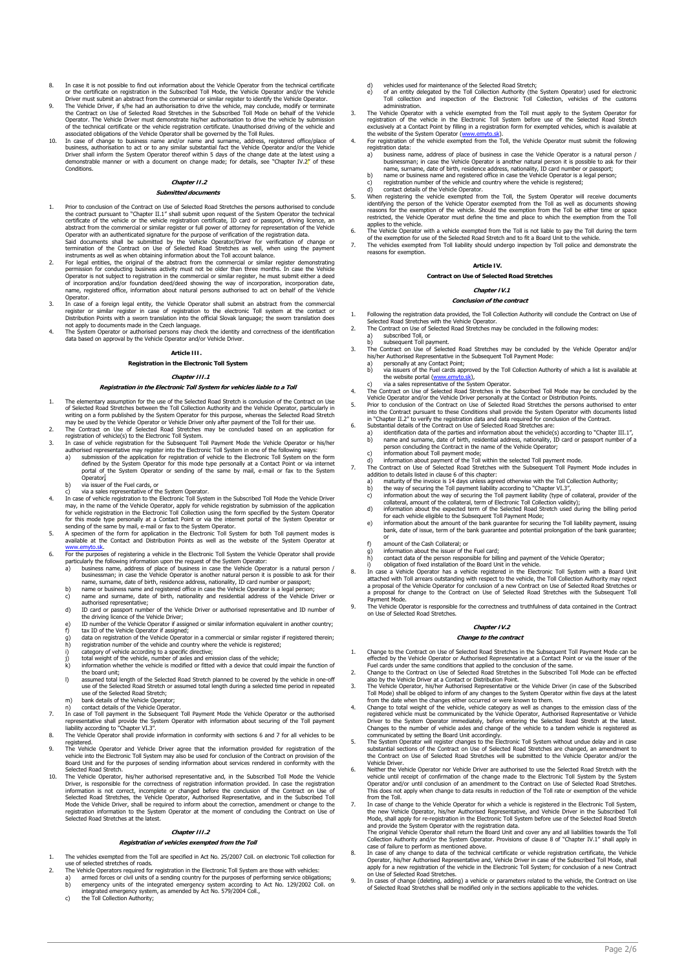- 8. In case it is not possible to find out information about the Vehicle Operator from the technical certificate<br>or the certificate on registration in the Subscribed Toll Mode, the Vehicle Operator and/or the Vehicle
- or the certificate on registration in the Subscribed Toll Mode, the Vehicle Operator and/or the Vehicle<br>Driver must submit an abstract from the commercial or similar register to identify the Vehicle Operator.<br>The Vehicle D
- associated obligations of the Vehicle Operator shall be governed by the Toll Rules.<br>In case of change to business name and/or name and sumanne, address, registered office/place of<br>business, authorisation to act or to any s **Conditions**

# **Chapter II.2**

# **Submitted documents**

- <span id="page-1-3"></span>1. Prior to conclusion of the Contract on Use of Selected Road Stretches the persons autonised to conclude the contact pursuant to "[Chapter II.1"](#page-0-0) shall submit upon request of the System Operator the technical certificate
- 
- Operator is not subject to registration in the commercial or similar register, he must submit either a deed<br>of incorporation and/or foundation deed/deed showing the way of incorporation, incorporation date,<br>name, registere
- <span id="page-1-7"></span>register or similar register in case of registration to the electronic Toll system at the contact or Distribution Points with a sworn translation into the official Slovak language; the sworn translation does
- not apply to documents made in the Czech language.<br>4. The System Operator or authorised persons may check the identity and correctness of the identification<br>data based on approval by the Vehicle Operator and/or Vehicle Dri

# **Article III.**

# **Registration in the Electronic Toll System**

#### **Chapter III.1**

# **Registration in the Electronic Toll System for vehicles liable to a Toll**

- <span id="page-1-4"></span>1. The elementary assumption for the use of the Selected Road Stretch is conclusion of the Contract on Use<br>of Selected Road Stretches between the Toll Collection Authority and the Vehicle Operator, particularly in<br>writing
- <span id="page-1-5"></span>
- registration of vehicle(s) to the Electronic Toll System.<br>3. In case of vehicle registration for the Subsequent Toll Payment Mode the Vehicle Operator or his/her<br>authorised representative may register into the Electronic T
	- a) submission of the application for registration of vehicle to the Electronic Toll System on the form defined by the System Operator for this mode type personally at a Contact Point or via internet portal of the System Operator or sending of the same by mail, e-mail or fax to the System Operator, b) via issuer of the Fuel cards, or
	- via issuer of the Fuereands, or<br>via a sales representative of the System Operator.
- 4. In case of vehicle registration to the Electronic Toll System in the Subscribed Toll Mode the Vehicle Driver may, in the name of the Vehicle Operator, apply for vehicle registration by submission of the application<br>for vehicle registration in the Electronic Toll Collection using the form specified by the System Operator<br>for this
- 
- <span id="page-1-6"></span><span id="page-1-1"></span><span id="page-1-0"></span>6. For the purposes of registering a vehicle in the Electronic Toll System the Vehicle Operator shall provide
	- particularly the following information upon the request of the System Operator:<br>a) business name, address of place of business in case the Vehicle Operator is a natural person /<br>businessman; in case the Vehicle Operator is
	- b) name or business name and registered office in case the Vehicle Operator is a legal person<br>c) name and surname, date of birth, nationality and residential address of the Vehicle I c) name and surname, date of birth, nationality and residential address of the Vehicle Driver or
	- authorised representative;<br>1) D card or passport number of the Vehicle Driver or authorised representative and ID number of<br>1) the driving licence of the Vehicle Driver;<br>1) D number of the Vehicle Operator if assigned or s
	-
	- f) tax ID of the Vehicle Operator if assigned; g) data on registration of the Vehicle Operator in a commercial or similar register if registered therein;
	-
	-
	- h) registration number of the vehicle and country where the vehicle is registered;<br>i) category of vehicle according to a specific directive;<br>j) total weight of the vehicle, number of axles and emission class of the vehicle
	- the board unit; l) assumed total length of the Selected Road Stretch planned to be covered by the vehicle in one-off use of the Selected Road Stretch or assumed total length during a selected time period in repeated
	- use of the Selected Road Stretch;
	- m) bank details of the Vehicle Operator:
- 
- <span id="page-1-2"></span>n) contact details of the Vehicle Operator. 7. In case of Toll payment in the Subsequent Toll Payment Mode the Vehicle Operator or the authorised representative shall provide the System Operator with information about securing of the Toll payment liability according to ["Chapter VI.3](#page-2-0)".
- 8. The Vehicle Operator shall provide information in conformity with sections [6](#page-1-1) and [7](#page-1-2) for all vehicles to be
- registered.<br>3. The Vehicle Operator and Vehicle Driver agree that the information provided for registration of the<br>3. The Vehicle into the Electronic Toll System may also be used for conclusion of the Contract on provision Selected Road Stretch.
- 10. The Vehicle Operator, his/her authorised representative and, in the Subscribed Toll Mode the Vehicle Driver, is responsible for the correctness of registration information provided. In case the registration information is not correct, incomplete or changed before the conclusion of the Contract on Use of Selected Road Stre

#### **Chapter III.2**

#### **Registration of vehicles exempted from the Toll**

- 1. The vehicles exempted from the Toll are specified in Act No. 25/2007 Coll. on electronic Toll collection for use of selected stretches of roads.
- 
- 2. The Vehicle Operators required for registration in the Electronic Toll System are those with vehicles:<br>
a) armed forces or civil units of a sending country for the purposes of performing service obligations;<br>
b) emergen
	-
- d) vehicles used for maintenance of the Selected Road Stretch;<br>e) of an entity delegated by the Toll Collection Authority (the
- e) of an entity delegated by the Toll Collection Authority (the System Operator) used for electronic Toll collection and inspection of the Electronic Toll Collection, vehicles of the customs
- administration.<br>3. The Vehicle exempted from the Toll must apply to the System Operator for<br>registration of the vehicle in the Electronic Toll System before use of the Selected Road Stretch<br>exclusively at a Contact Point b the website of the System Operator [\(www.emyto.sk\)](http://www.emyto.sk/).<br>4. For registration of the vehicle exempted from the Toll, the Vehicle Operator must submit the following
- .<br>ration data:
	- a) business name, address of place of business in case the Vehicle Operator is a natural person /<br>businessman; in case the Vehicle Operator is another natural person it is possible to ask for their<br>name, surname, date of b b) name or business name and registered office in case the Vehicle Operator is a legal person;<br>c) registration number of the vehicle and country where the vehicle is registered;
- 
- d) contact details of the Vehicle Operator.<br>S. When registering the vehicle exempted from the Toll, the System Operator will receive documents<br>identifying the person of the Vehicle Operator exempted from the Toll as well a applies to the vehicle.
- 6. The Vehicle Operator with a vehicle exempted from the Toll is not liable to pay the Toll during the term of the exemption for use of the Selected Road Stretch and to fit a Board Unit to the vehicle.
	- The vehicles exempted from Toll liability should undergo inspection by Toll police and demonstrate the **c** venicles exempted<br>sons for exemption.

#### **Article IV.**

#### **Contract on Use of Selected Road Stretches**

#### **Chapter IV.1**

## **Conclusion of the contract**

- 1. Following the registration data provided, the Toll Collection Authority will conclude the Contract on Use of Selected Road Stretches with the Vehicle Operator.
- 2. The Contract on Use of Selected Road Stretches may be concluded in the following modes:<br>a) subscribed Toll or
- 
- a) subscribed Toll, or<br>
b) subsequent Toll payment.<br>
3. The Contract on Use of Selected Road Stretches may be concluded by the Vehicle Operator and/or<br>
his/her Authorised Representative in the Subsequent Toll Payment Mode:
	- a) personally at any Contact Point;<br>
	b) via issuers of the Fuel cards and b) via issuers of the Fuel cards approved by the Toll Collection Authority of which a list is available at
- 
- the website portal (<u>www.emyto.sk</u>),<br>
c) via a sales representative of the System Operator.<br>
4. The Contract on Use of Selected Road Stretches in the Subscribed Toll Mode may be concluded by the<br>
4. The Contract on Use of
- in ["Chapter II.2](#page-1-3)" to verify the registration data and data required for conclusion of the Contract.
- 6. Substantial details of the Contract on Use of Selected Road Stretches are:<br>
a) identification data of the parties and information about the vehicle(s) according to "[Chapter III.1](#page-1-4)",<br>
b) name and surname, date of birth, r
	-
	-
- c) information about Toll payment mode;<br>
7. The Contract on Use of Selected Road Stretches with the selected Toll payment mode.<br>
7. The Contract on Use of Selected Road Stretches with the Subsequent Toll Payment Mode inclu
	-
	-
	- d) information about the expected term of the Selected Road Stretch used during the billing period
	- for each vehicle eligible to the Subsequent Toll Payment Mode;<br>information about the amount of the bank guarantee for securing the Toll liability payment, issuing<br>bank, date of issue, term of the bank quarantee and potenti
	- or f) amount of the Cash Collateral; or
	-
	- amount of the Cash Conacerar, of<br>information about the issuer of the Fuel card;<br>contact data of the person responsible for billing and payment of the Vehicle Operator:
- h) contact data of the person responsible for billing and payment of the Vehicle Operator;<br>i) obligation of fixed installation of the Board Unit in the vehicle.<br>In case a Vehicle Operator has a vehicle registered in the El Payment Mode.
- 9. The Vehicle Operator is responsible for the correctness and truthfulness of data contained in the Contract on Use of Selected Road Stretches.

# **Chapter IV.2**

#### **Change to the contract**

- 1. Change to the Contract on Use of Selected Road Stretches in the Subsequent Toll Payment Mode can be
- effected by the Vehicle Operator or Authorised Representative at a Contact Point or via the issuer of the Fuel cards under the same conditions that applied to the condusion of the same.<br>2. Change to the Contract on Use of
- 
- Toll Mode) shall be obliged to inform of any changes to the System Operator within five days at the latest<br>from the date when the changes either occurred or were known to them.<br>Change to total weight of the vehicle, vehicl
- communicated by setting the Board Unit accordingly.<br>
5. The System without undue delay and in case<br>
substantial sections of the Contract on Use of Selected Road Stretches are changed, an amendment to<br>
the Contract on Use o
- vehicle until receipt of confirmation of the change made to the Electronic Toll System by the System Operator and/or until conclusion of an amendment to the Contract on Use of Selected Road Stretches. This does not apply when change to data results in reduction of the Toll rate or exemption of the vehicle
- from the Toll.<br>7. In case of change to the Vehicle Operator for which a vehicle is registered in the Electronic Toll System,<br>8. the new Vehicle Operator, his/her Authorised Representative, and Vehicle Driver in the Subscri and provide the System Operator with the registration data. The original Vehicle Operator shall return the Board Unit and cover any and all liabilities towards the Toll
	- Collection Authority and/or the System Operator. Provisions of clause [8](#page-1-6) of ["Chapter IV.1"](#page-1-7) shall apply in
- case of failure to perform as mentioned above.<br>
1. In case of any change to data of the technical certificate or vehicle registration certificate, the Vehicle<br>
1. Operator, his/her Authorised Representative and, Vehicle Dr on Use of Selected Road Stretches.
- 9. In cases of change (deleting, adding) a vehicle or parameters related to the vehicle, the Contract on Use of Selected Road Stretches shall be modified only in the sections applicable to the vehicles.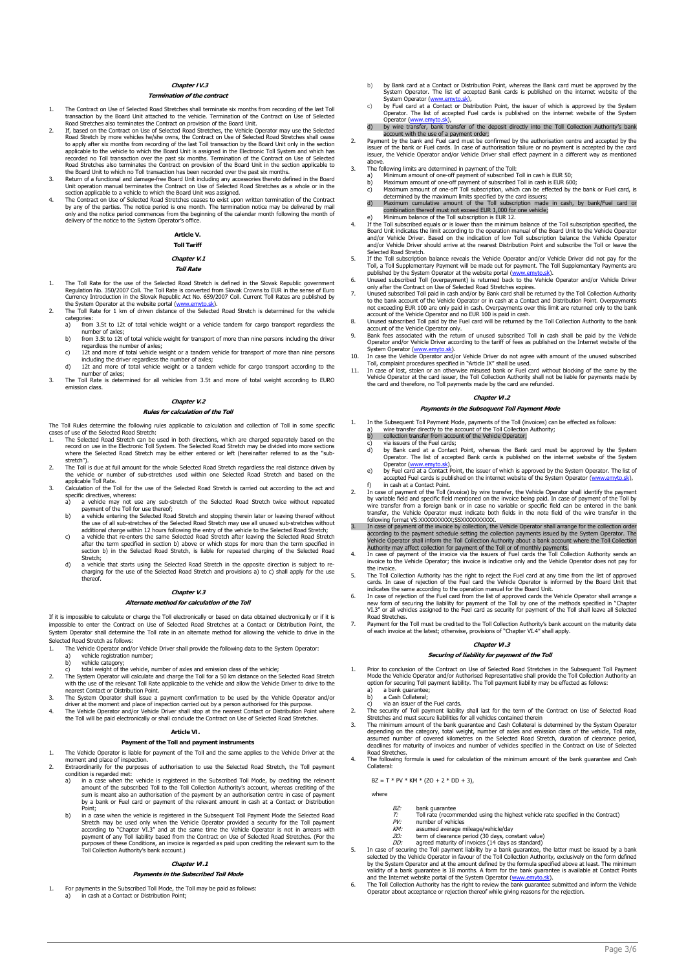### **Chapter IV.3**

#### **Termination of the contract**

- 1. The Contract on Use of Selected Road Stretches shall terminate six months from recording of the last Toll transaction by the Board Unit attached to the vehicle. Termination of the Contract on Use of Selected<br>Road Stretches also terminates the Contract on provision of the Board Unit.<br>If, based on the Contract on Use of Selected
- Road Stretch by more vehicles he/she owns, the Contract on Use of Selected Road Stretches shall cease to apply after six months from recording of the last Toll transaction by the Board Unit only in the section<br>applicable to the vehicle to which the Board Unit is assigned in the Electronic Toll System and which has<br>recorded the Board Unit to which no Toll transaction has been recorded over the past six months.
- 3. Return of a functional and damage-free Board Unit including any accessories thereto defined in the Board Unit operation manual terminates the Contract on Use of Selected Road Stretches as a whole or in the
- section applicable to a vehicle to which the Board Unit was assigned.<br>The Contract on Use of Selected Road Stretches ceases to exist upon written termination of the Contract<br>by any of the parties. The notice period is one delivery of the notice to the System Operator's office.

### **Article V.**

# **Toll Tariff**

## **Chapter V.1 Toll Rate**

- 1. The Toll Rate for the use of the Selected Road Stretch is defined in the Slovak Republic government Regulation No. 350/2007 Coll. The Toll Rate is converted from Slovak Crowns to EUR in the sense of Euro<br>Currency Introduction in the Slovak Republic Act No. 659/2007 Coll. Current Toll Rates are published by<br>the System Ope
- categories:
	- a) from 3.5t to 12t of total vehicle weight or a vehicle tandem for cargo transport regardless the number of axles; b) from 3.5t to 12t of total vehicle weight for transport of more than nine persons including the driver
	-
	- regardless the number of axles;<br>c) 12t and more of total vehicle weight or a tandem vehicle for transport of more than nine persons<br>including the driver regardless the number of axles; d) 12t and more of total vehicle weight or a tandem vehicle for cargo transport according to the
- number of axles; 3. The Toll Rate is determined for all vehicles from 3.5t and more of total weight according to EURO

#### **Chapter V.2**

#### **Rules for calculation of the Toll**

The Toll Rules determine the following rules applicable to calculation and collection of Toll in some specific The Toll Kules determine the Tollowing

- 1. The Selected Road Stretch can be used in both directions, which are charged separately based on the record on use in the Electronic Toll System. The Selected Road Stretch may be divided into more sections where the Selected Road Stretch may be either entered or left (hereinafter referred to as the "substretch")
- The Toll is due at full amount for the whole Selected Road Stretch regardless the real distance driven by<br>the vehicle or number of sub-stretches used within one Selected Road Stretch and based on the<br>policable Toll Rate.<br>C
- specific directives, whereas:<br>a) a vehicle may not u a) a vehicle may not use any sub-stretch of the Selected Road Stretch twice without repeated
- 
- 
- payment of the Toll for use thereof;<br>a vehicle entering the Selected Road Stretch and stopping therein later or leaving thereof without<br>the use of all sub-stretches of the Selected Road Stretch may use all unused sub-stret Stretch<sup>.</sup>
- d) a vehicle that starts using the Selected Road Stretch in the opposite direction is subject to re-charging for the use of the Selected Road Stretch and provisions a) to c) shall apply for the use thereof.

#### **Chapter V.3**

### **Alternate method for calculation of the Toll**

If it is impossible to calculate or charge the Toll electronically or based on data obtained electronically or if it is impossible to enter the Contract on Use of Selected Road Stretches at a Contact or Distribution Point, the System Operator shall determine the Toll rate in an alternate method for allowing the vehicle to drive in the Selected Road Stretch as follows:

<span id="page-2-0"></span>1. The Vehicle Operator and/or Vehicle Driver shall provide the following data to the System Operator:

emission class.

- a) vehicle registration number; b) vehicle category; c) total weight of the vehicle, number of axles and emission class of the vehicle;
- 2. The System Operator will calculate and charge the Toll for a 50 km distance on the Selected Road Stretch with the use of the relevant Toll Rate applicable to the vehicle and allow the Vehicle Driver to drive to the
- nearest Contact or Distribution Point.
- 3. The System Operator shall issue a payment confirmation to be used by the Vehicle Operator and/or<br>driver at the moment and place of inspection carried out by a person authorised for this purpose.<br>4. The Vehicle Operator
- 

# **Article VI.**

# **Payment of the Toll and payment instruments**

- 1. The Vehicle Operator is liable for payment of the Toll and the same applies to the Vehicle Driver at the moment and place of inspection.
- 2. Extraordinarily for the purposes of authorisation to use the Selected Road Stretch, the Toll payment condition is regarded met:
	- a) in a case when the vehicle is registered in the Subscribed Toll Mode, by crediting the relevant amount of the subscribed Toll Collection Authority's account, whereas crediting of the sum is meant also an authorisation o Point;
	- b) in a case when the vehicle is registered in the Subsequent Toll Payment Mode the Selected Road Stretch may be used only when the Vehicle Operator provided a security for the Toll payment according to "[Chapter VI.3"](#page-2-0) and at the same time the Vehicle Operator is not in arrears with payment of any Toll liability based f

#### **Chapter VI.1**

#### **Payments in the Subscribed Toll Mode**

1. For payments in the Subscribed Toll Mode, the Toll may be paid as follows:<br>a) in cash at a Contact or Dictribution Belgium I cash at a Contact or Distribution Point;

- b) by Bank card at a Contact or Distribution Point, whereas the Bank card must be approved by the System Operator. The list of accepted Bank cards is published on the internet website of the
- System Operator ([www.emyto.sk](http://www.emyto.sk/)),<br>c) by Fuel card at a Contact or Distribution Point, the issuer of which is approved by the System<br>Operator. The list of accepted Fuel cards is published on the internet website of the System
- Operator [\(www.emyto.sk\)](http://www.emyto.sk/),<br>
d) by wire transfer, bank transfer of the deposit directly into the Toll Collection Authority's bank
- account with the use of a payment order;<br>2. Payment by the bank and accepted by the bank and accepted by the lauthorisation centre and accepted by the<br>issuer of the bank or Fuel cards. In case of authorisation failure or n
	-
	- -
- 3. The following limits are determined in payment of the Toll:<br>
a) The following limits are determined in payment of subscribed Toll in cash is EUR 50;<br>
b) Maximum amount of one-off payment of subscribed Toll in cash is EU
- Board Unit indicates the limit according to the operation manual of the Board Unit to the Vehicle Operator and/or Vehicle Driver. Based on the indication of low Toll subscription balance the Vehicle Operator and/or vehicle Driver. Based on the mulcation of low for subscription balance the vehicle c<br>and/or Vehicle Driver should arrive at the nearest Distribution Point and subscribe the Toll or le
- Selected Road Stretch.<br>5. If the Toll subscription balance reveals the Vehicle Operator and/or Vehicle Driver did not pay for the<br>1. Toll, a Toll Supplementary Payment will be made out for payment. The Toll Supplementary P
- 
- published by the System Operator at the website portal (<u>[www.emyto.sk](http://www.emyto.sk/)</u>).<br>
6. Unused subscribed Toll (overpayment) is returned back to the Vehicle Operator and/or Vehicle Driver<br>
only after the Contract on Use of Selected R account of the Vehicle Operator and no EUR 100 is paid in cash.
- 8. Unused subscribed Toll paid by the Fuel card will be returned by the Toll Collection Authority to the bank
- account of the Vehicle Operator only.<br>
Bank fees associated with the return of unused subscribed Toll in cash shall be paid by the Vehicle<br>
Operator and/or Vehicle Driver according to the tariff of fees as published on the
- Toll, complaint procedures specified in ["Article IX](#page-4-0)" shall be used.
- 101, complaint procedures specified in Article IA strain be used.<br>11. In case of lost, stolen or an otherwise misused bank or Fuel card without blocking of the same by the Vehicle Operator at the card issuer, the Toll Collection Authority shall not be liable for payments made by the card and therefore, no Toll payments made by the card are refunded.

## **Chapter VI.2**

# **Payments in the Subsequent Toll Payment Mode**

- 1. In the Subsequent Toll Payment Mode, payments of the Toll (invoices) can be effected as follows: a) wire transfer directly to the account of the Toll Collection Authority; b) collection transfer from account of the Vehicle Operator;
	-
	- c) via issuers of the Fuel cards; d) by Bank card at a Contact Point, whereas the Bank card must be approved by the System Operator. The list of accepted Bank cards is published on the internet website of the System
	- Operator [\(www.emyto.sk\)](http://www.emyto.sk/),<br>
	e) by Fuel card at a Contact Point, the issuer of which is approved by the System Operator. The list of
- accepted Fuel cards is published on the internet website of the System Operator ([www.emyto.sk](http://www.emyto.sk/)),<br>f) in cash at a Contact Point.<br>In case of payment of the Toll (invoice) by wire transfer, the Vehicle Operator shall identify wire transfer from a foreign bank or in case no variable or specific field can be entered in the bank transfer, the Vehicle Operator must indicate both fields in the note field of the wire transfer in the
- following format VS:XXXXXXXXXX;SSXXXXXXXXXX. 3. In case of payment of the invoice by collection, the Vehicle Operator shall arrange for the collection order according to the payment schedule setting the collection payments issued by the System Operator. The Vehicle Operator shall inform the Toll Collection Authority about a bank account where the Toll Collection Authority may affect collection for payment of the Toll or of monthly payments. 4. In case of payment of the invoice via the issuers of Fuel cards the Toll Collection Authority sends an
- invoice to the Vehicle Operator; this invoice is indicative only and the Vehicle Operator does not pay for
- the invoice. 5. The Toll Collection Authority has the right to reject the Fuel card at any time from the list of approved cards. In case of rejection of the Fuel card the Vehicle Operator is informed by the Board Unit that
- indicates the same according to the operation manual for the Board Unit.<br>
6. In case of rejection of the Fuel card from the list of approved cards the Vehicle Operator shall arrange a<br>
new form of securing the liability fo
- 7. Payment for the Toll must be credited to the Toll Collection Authority's bank account on the maturity date of each invoice at the latest; otherwise, provisions of ["Chapter VI.4](#page-3-0)" shall apply.

# **Chapter VI.3**

### **Securing of liability for payment of the Toll**

- 1. Prior to conclusion of the Contract on Use of Selected Road Stretches in the Subsequent Toll Payment<br>Mode the Vehicle Operator and/or Authorised Representative shall provide the Toll Collection Authority an<br>option for s
	- a) a bank guarantee<br>b) a Cash Collateral:
	- a Cash Collateral;<br>via an issuer of the Fuel cards
	-
- c) via an issuer of the Fuel cards.<br>2. The security of Toll payment liability shall last for the term of the Contract on Use of Selected Road<br>5. Stretches and must secure liabilities for all vehicles contained therein<br>3. T
- depending on the category, total weight, number of axles and emission class of the vehicle, Toll rate,<br>assumed number of covered kilometres on the Selected Road Stretch, duration of clearance period,<br>deadlines for maturity acaamics toi<br>Road Stretch
- -------<br>wing formula is used for calculation of the minimum amount of the bank guarantee and Cash The follow<br>Collateral:

 $BZ = T * PV * KM * (ZO + 2 * DD + 3),$ 

where

- 
- BZ: bank guarantee<br>T: Toll rate (recommended using the highest vehicle rate specified in the Contract)
- PV: number of vehicles<br>KM: assumed average mileage/vehicle/day
- 
- 
- *DO:* term of clearance period (30 days, constant value)<br>D. agreed maturity of invoices (14 days as standard)<br>5. In case of securing the Toll payment liability by a bank guarantee, the latter must be issued by a bank<br>sele validity of a bank guarantee is 18 months. A form for the bank guarantee is available at Contact Points<br>and the Internet website portal of the System Operator (www.emyto.sk).
- and the Internet website portal of the System Operator ([www.emyto.sk](http://www.emyto.sk/)).<br>6. The Toll Collection Authority has the right to review the bank guarantee submitted and inform the Vehicle<br>Operator about acceptance or rejection the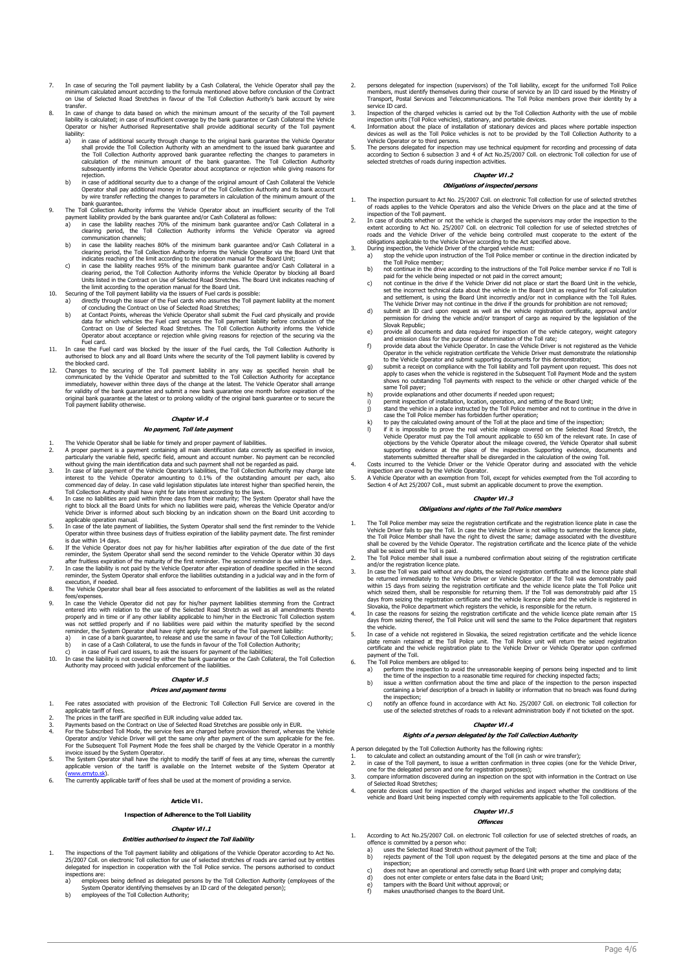- 7. In case of securing the Toll payment liability by a Cash Collateral, the Vehicle Operator shall pay the minimum calculated amount according to the formula mentioned above before conclusion of the Contract on Use of Selected Road Stretches in favour of the Toll Collection Authority's bank account by wire
- transfer.<br>B. In case of change to data based on which the minimum amount of the security of the Toll payment<br>liability is calculated; in case of insufficient coverage by the bank guarantee or Cash Collateral the Vehicle<br>Op liability:
	- in case of additional security through change to the original bank guarantee the Vehicle Operator<br>shall provide the Toll Collection Authority with an amendment to the issued bank guarantee and<br>the Toll Collection Authority rejection.
	- b) in case of additional security due to a change of the original amount of Cash Collateral the Vehicle Operator shall pay additional money in favour of the Toll Collection Authority and its bank account by wire transfer reflecting the changes to parameters in calculation of the minimum amount of the
- bank guarantee.<br>
9. The Toll Collection Authority informs the Vehicle Operator about an insufficient security of the Toll<br>
payment liability provided by the bank guarantee and/or Cash Collateral as follows:<br>
a) in case the
	-
	- communication channels;<br>b) in case the liability reaches 80% of the minimum bank guarantee and/or Cash Collateral in a<br>clearing period, the Toll Collection Authority informs the Vehicle Operator via the Board Unit that<br>ind
- c) in case the liability reaches 95% of the minimum bank guarantee and/or Cash Collateral in a<br>clearing period, the Toll Collection Authority informs the Vehicle Operator by blocking all Board<br>Units listed in the Contract
- - b) at Contact Points, whereas the Vehicle Operator shall submit the Fuel card physically and provide
	- data for which vehicles the Fuel card secures the Toll payment liability before conclusion of the<br>Contract on Use of Selected Road Stretches. The Toll Collection Authority informs the Vehicle<br>Operator about acceptance or r
- Fuel card. 11. In case the Fuel card was blocked by the issuer of the Fuel cards, the Toll Collection Authority is authorised to block any and all Board Units where the security of the Toll payment liability is covered by
- the blocked card.<br>21. Changes to the securing of the Toll payment liability in any way as specified herein shall be<br>communicated by the Vehicle Operator and submitted to the Toll Collection Authority for acceptance<br>immedia Toll payment liability otherwise.

# **Chapter VI.4**

#### **No payment, Toll late payment**

- 
- <span id="page-3-0"></span>1. The Vehicle Operator shall be liable for timely and proper payment of liabilities.<br>2. A proper payment is a payment containing all main identification data correctly as specified in invoice,<br>particularly the variable fi
- without giving the main identification data and such payment shall not be regarded as paid. In case of late payment of the Vehicle Operator's liabilities, the Toll Collection Authority may charge late interest to the Vehic
- Vehicle Driver is informed about such blocking by an indication shown on the Board Unit according to
- applicable operation manual.<br>
5. In case of the late payment of liabilities, the System Operator shall send the first reminder to the Vehicle<br>
19 Operator within three business days of fruitess expiration of the liability
- 
- after fruitless expiration of the maturity of the first reminder. The second reminder is due within 14 days.<br>In case the liability is not paid by the Vehicle Operator after expiration of deadline specified in the second<br>re execution, if needed
- 8. The Vehicle Operator shall bear all fees associated to enforcement of the liabilities as well as the related fees/expenses.
- 9. In case the Vehicle Operator did not pay for his/her payment liabilities stemming from the Contract<br>entered into with relation to the use of the Selected Road Stretch as well as all amendments thereto<br>properly and in ti
	- b) in case of a Cash Collateral, to use the funds in favour of the Toll Collection Authority;
- c) in case of Fuel card issuers, to ask the issuers for payment of the liabilities;<br>10. In case the liability is not covered by either the bank guarantee or the Cash Collateral, the Toll Collection<br>Authority may proceed wi

## **Chapter VI.5**

#### **Prices and payment terms**

1. Fee rates associated with provision of the Electronic Toll Collection Full Service are covered in the

- applicable tariff of fees. 2. The prices in the tariff are specified in EUR including value added tax. 3. Payments based on the Contract on Use of Selected Road Stretches are possible only in EUR.
- 4. For the Subscribed Toll Mode, the eserice feas are charged before provision thereof, whereas the Vehicle<br>Operator and/or Vehicle Driver will get the same only after payment of the sum applicable for the fee.<br>For the Sub
- 
- 6. The currently applicable tariff of fees shall be used at the moment of providing a service.

### **Article VII.**

## **Inspection of Adherence to the Toll Liability**

## **Chapter VII.1**

# **Entities authorised to inspect the Toll liability**

- 1. The inspections of the Toll payment liability and obligations of the Vehicle Operator according to Act No.<br>25/2007 Coll. on electronic Toll collection for use of selected stretches of roads are carried out by entities<br>d inspections are:<br>a) employee
	- a) employees being defined as delegated persons by the Toll Collection Authority (employees of the<br>- System Operator identifying themselves by an ID card of the delegated person);<br>b) employees of the Toll Collection Author
	-
- 2. persons delegated for inspection (supervisors) of the Toll liability, except for the uniformed Toll Police members, must identify themselves during their course of service by an ID card issued by the Ministry of Transport, Postal Services and Telecommunications. The Toll Police members prove their identity by a
- service ID card.<br>3. Inspection of the charged vehicles is carried out by the Toll Collection Authority with the use of mobile<br>5. Inspection units (Toll Police vehicles), stationary, and portable devices.<br>4. Information abo
- devices as well as the Toll Police vehicles is not to be provided by the Toll Collection Authority to a
- Vehicle Operator or to third persons.<br>5. The persons delegated for inspection may use technical equipment for recording and processing of data<br>6. The persons delegated for inspection 3 and 4 of Act No.25/2007 Coll. on elec

#### **Chapter VII.2**

### **Obligations of inspected persons**

- 1. The inspection pursuant to Act No. 25/2007 Coll. on electronic Toll collection for use of selected stretches<br>of roads applies to the Vehicle Operators and also the Vehicle Drivers on the place and at the time of<br>inspect
- Inspection of the foll payment.<br>2. In case of doubts whether or not the vehicle is charged the supervisors may order the inspection to the extent according to Act No. 25/2007 Coll. on electronic Toll collection for use of selected stretches of<br>towards and the Vehicle Driver of the vehicle being controlled must cooperate to the extent of the<br>obligations applic
	-
	-
	- paid for the vehicle being inspected or not paid in the correct amount;<br>not continue in the drive if the Vehicle Driver did not place or start the Board Unit in the vehicle,<br>set the incorrect technical data about the vehic
	- d) submit an ID card upon request as well as the vehicle registration certificate, approval and/or permission for driving the vehicle and/or transport of cargo as required by the legislation of the Slovak Republic;
	- e) provide all documents and data required for inspection of the vehicle category, weight category
	- and emission class for the purpose of determination of the Toll rate;<br>
	f) provide data about the Vehicle Operator. In case the Vehicle Diver is not registered as the Vehicle<br>
	Operator in the vehicle registration certificat
	- shows no outstanding Toll payments with respect to the vehicle or other charged vehicle of the<br>provide explanations and other documents if needed upon request;<br>hypovide explanations and other documents if needed upon reque
	-
	-
	-
	-
- k) to pay the calculated owing amount of the Toil at the place and time of the inspection;<br>if it is impossible to prove the real vehicle mileage covered on the Selected Road Stretch, the<br>Vehicle Operator must pay the Toll statements submitted thereafter shall be disregarded in the calculation of the owing Toll. 4. Costs incurred to the Vehicle Driver or the Vehicle Operator during and associated with the vehicle
- inspection are covered by the Vehicle Operator.<br>5. A Vehicle Operator with an exemption from Toll, except for vehicles exempted from the Toll according to<br>Section 4 of Act 25/2007 Coll., must submit an applicable docum

#### **Chapter VII.3**

#### **Obligations and rights of the Toll Police members**

- 1. The Toll Police member may seize the registration certificate and the registration licence plate in case the<br>Vehicle Driver fails to pay the Toll. In case the Vehicle Driver is not willing to surrender the licence plate shall be seized until the Toll is paid.
- 2. The Toll Police member shall issue a numbered confirmation about seizing of the registration certificate and/or the registration licence plate.
- 3. In case the Toll was paid without any doubts, the seized registration certificate and the licence plate shall<br>be returned immediately to the Vehicle Driver or Vehicle Operator. If the Toll was demonstrably paid<br>within 1 which seized them, shall be responsible for returning them. If the Toll was demonstrably paid after 15 days from seizing the registration certificate and the vehicle licence plate and the vehicle is registered in
- Slovakia, the Police department which registers the vehicle, is responsible for the return.<br>In case the reasons for seizing the registration certificate and the vehicle licence plate remain after 15<br>days from seizing there
- the vehicle.<br>
5. In case of a vehicle not registered in Slovakia, the seized registration certificate and the vehicle licence<br>
plate remain retained at the Toll Police unit. The Toll Police unit will return the seized regi
- 
- payment of the Toll.<br>
The Toll Police members are obliged to:<br>
a) perform the inspection to avoid the unreasonable keeping of persons being inspected and to limit<br>
the time of the inspection to a reasonable time required f
	- the inspection; c) notify an offence found in accordance with Act No. 25/2007 Coll. on electronic Toll collection for
	- use of the selected stretches of roads to a relevant administration body if not ticketed on the spot.

## **Chapter VII.4**

**Rights of a person delegated by the Toll Collection Authority** 

- 
- A person delegated by the Toll Collection Authority has the following rights:<br>
to calculate and collect an outstanding amount of the Toll (in cash or wire transfer);<br>
2. in case of the Toll payment, to issue a written conf
- of Selected Road Stretches;
- 4. operate devices used for inspection of the charged vehicles and inspect whether the conditions of the vehicle and Board Unit being inspected comply with requirements applicable to the Toll collection.

## **Chapter VII.5 Offences**

- 1. According to Act No.25/2007 Coll. on electronic Toll collection for use of selected stretches of roads, an
	- offence is committed by a person who:<br>
	a) uses the Selected Road Stretch without payment of the Toll;<br>
	b) rejects payment of the Toll upon request by the delegated persons at the time and place of the<br>
	inspection;
	- inspection,<br>does not have an operational and correctly setup Board Unit with proper and complying data;
	- d) does not enter complete or enters false data in the Board Unit;
	- e) tampers with the Board Unit without approval; or f) makes unauthorised changes to the Board Unit.
	-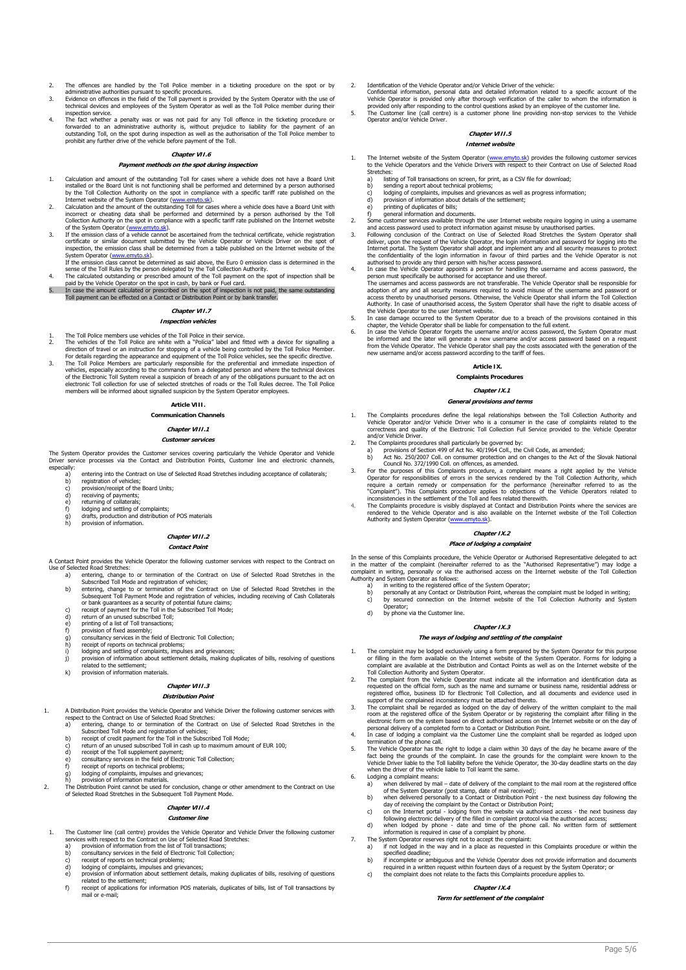- 2. The offences are handled by the Toll Police member in a ticketing procedure on the spot or by
- administrative authorities pursuant to specific procedures.<br>3. Evidence on offences in the field of the Toll payment is provided by the System Operator with the use of<br>technical devices and employees of the System Operator
- inspection service. 4. The fact whether a penalty was or was not paid for any Toll offence in the ticketing procedure or forwarded to an administrative authority is, without prejudice to liability for the payment of an outstanding Toll, on the spot during inspection as well as the authorisation of the Toll Police member to<br>prohibit any further drive of the vehicle before payment of the Toll.

#### **Chapter VII.6**

### **Payment methods on the spot during inspection**

- 1. Calculation and amount of the outstanding Toll for cases where a vehicle does not have a Board Unit
- installed or the Board Unit is not functioning shall be performed and determined by a person authorised<br>by the Toll Collection Authority on the spot in compliance with a specific tariff rate published on the<br>Internet webs
- of the System Operator ([www.emyto.sk](http://www.emyto.sk/)).<br>3. If the emission class of a vehicle cannot be ascertained from the technical certificate, vehicle registration certificate or similar document submitted by the Vehicle Operator or Vehicle Driver on the spot of inspection, the emission class shall be determined from a table published on the Internet website of the
- System Operator (<u>www.emyto.sk</u>).<br>If the emission class cannot be determined as said above, the Euro 0 emission class is determined in the<br>sense of the Toll Rules by the Poson delegated by the Toll Collection Authority.<br>Th
- paid by the Vehicle Operator on the spot in cash, by bank or Fuel card.<br>5. In case the amount calculated or prescribed on the spot of inspection is not paid, the same outstanding<br>Toll payment can be effected on a Contact o

### **Chapter VII.7**

# **Inspection vehicles**

- 1. The Toll Police members use vehicles of the Toll Police in their service.<br>2. The vehicles of the Toll Police are white with a "Policia" label and 1
- <span id="page-4-0"></span>2. The vehicles of the Toll Police are white with a "Polícia" label and fitted with a device for signalling a<br>direction of travel or an instruction for stopping of a vehicle being controlled by the Toll Police Member.<br>For 3. The Toll Police Members are particularly responsible for the preferential and immediate inspection of vehicles, especially according to the commands from a delegated person and where the technical devices of the Electronic Toll System reveal a suspicion of breach of any of the obligations pursuant to the act on<br>electronic Toll collection for use of selected stretches of roads or the Toll Rules decree. The Toll Police<br>member

#### **Article VIII.**

#### **Communication Channels**

**Chapter VIII.1**

# **Customer services**

The System Operator provides the Customer services covering particularly the Vehicle Operator and Vehicle Driver service processes via the Contact and Distribution Points, Customer line and electronic channels,

- especially<br>a)<br>b) entering into the Contract on Use of Selected Road Stretches including acceptance of collaterals; b) registration of vehicles; c) provision/receipt of the Board Units;
	- c) provision/receipt of the<br>d) receiving of payments;
	-
	- e) returning of collaterals;<br>f) lodging and settling of
	- f) lodging and settling of complaints; g) drafts, production and distribution of POS materials g) drafts, production and d<br>h) provision of information.

# **Chapter VIII.2**

# **Contact Point**

A Contact Point provides the Vehicle Operator the following customer services with respect to the Contract on Use of Selected Road Stretches:<br>a) entering, change t

- a) entering, change to or termination of the Contract on Use of Selected Road Stretches in the<br>Subscribed Toll Mode and registration of vehicles;<br>b) entering, change to or termination of the Contract on Use of Selected Roa
	- Subsequent Toll Payment Mode and registration of vehicles, including receiving of Cash Collaterals<br>
	or bank guarantees as a security of potential future claims;<br>
	c) receipt of payment for the Toll in the Subscribed Toll Mo
	-
	-
	-
	-
	-
	- h) receipt of reports on technical problems;<br>i) lodging and settling of complaints, impulses and grievances;<br>j) provision of information about settlement details, making duplicates of bills, resolving of questions<br>related
	-

# **Chapter VIII.3**

### **Distribution Point**

- 1. A Distribution Point provides the Vehicle Operator and Vehicle Driver the following customer services with respect to the Contract on Use of Selected Road Stretches:<br>a) entering, change to or termination of the Contract on Use of Selected Road Stretches in the<br>Subscribed Toll Mode and registration of vehicles;
	-
	- b) receipt of credit payment for the Toll in the Subscribed Toll Mode;<br>b) receipt of credit payment for the Toll in the Subscribed Toll measurement
	- c) return of an unused subscribed Toll in cash up to maximum amount of EUR 100;<br>d) receipt of the Toll supplement payment;<br>e) consultancy services in the field of Electronic Toll Collection;<br>f) receipt of reports on techni
	-
	- d) receipt of the Toll supplement payment; e) consultancy services in the field of Electronic Toll Collection; f) receipt of reports on technical problems;
	-
	- g) lodging of complaints, impulses and grievances;<br>h) provision of information materials. provision of information materials.
- 2. The Distribution Point cannot be used for conclusion, change or other amendment to the Contract on Use of Selected Road Stretches in the Subsequent Toll Payment Mode.
	-

### **Chapter VIII.4 Customer line**

- 1. The Customer line (call centre) provides the Vehicle Operator and Vehicle Driver the following customer services with respect to the Contract on Use of Selected Road Stretches:<br>
a) provision of information from the list of Toll transactions;<br>
b) consultancy services in the field of Electronic Toll Collection; a) provision of information from the list of Toll transactions;
	-
	-
	-
	- b) consultancy services in the field of Electronic Toll Collection;<br>c) receipt of reports on technical problems;<br>d) lodging of complaints, impulses and grievances;<br>e) provision of information about settlement details, maki related to the settlement; f) receipt of applications for information POS materials, duplicates of bills, list of Toll transactions by
	- mail or e-mail;
- 2. Identification of the Vehicle Operator and/or Vehicle Driver of the vehicle:<br>Confidential information, personal data and detailed information related to a specific account of the<br>Vehicle Operator is provided only after
- 

#### **Chapter VIII.5**

#### **Internet website**

- 1. The Internet website of the System Operator ([www.emyto.sk](http://www.emyto.sk/)) provides the following customer services to the Vehicle Drivers with respect to their Contract on Use of Selected Road Stretches:
	- a) listing of Toll transactions on screen, for print, as a CSV file for download;<br>b) sending a report about technical problems;
	-
	- b) sending a report about technical problems;<br>c) lodging of complaints, impulses and grievances as well as progress information;<br>d) provision of information about details of the settlement;<br>e) pinting of duplicates of bill
	-
	-
- 2. Some customer services available through the user Internet website require logging in using a username
- and access password used to protect information against misuse by unauthorised parties. 3. Following conclusion of the Contract on Use of Selected Road Stretches the System Operator shall deliver, upon the request of the Vehicle Operator, the login information and password for logging into the Internet portal. The system Operator shall adopt and implement any and all security measures to protect.<br>The confid
- 
- person must specifically be authorised for acceptance and use thereof.<br>The usernames and access passwords are not transferable. The Vehicle Operator shall be responsible for<br>adoption of any and all security measures requir the Vehicle Operator to the user Internet website.<br>In case damage occurred to the System Operator due to a breach of the provisions contained in this
- 
- 5. In case damage occurred to the System Operator due to a breach of the provisions contained in this chapter, the Vehicle Operator shall be liable for compensation to the full extent.<br>In case the Vehicle Operator shall be

#### **Article IX.**

# **Complaints Procedures**

# **Chapter IX.1**

# **General provisions and terms**

- 1. The Complaints procedures define the legal relationships between the Toll Collection Authority and Vehicle Operator and/or Vehicle Driver who is a consumer in the case of complaints related to the correctness and quality of the Electronic Toll Collection Full Service provided to the Vehicle Operator and/or Vehicle Driver.
- 
- 2. The Complaints procedures shall particularly be governed by:<br>
a) provisions of Section 499 of Act No. 40/1964 Coll., the Civil Code, as amended;<br>
b) Act No. 250/2007 Coll. on consumer protection and on changes to the Ac
- 3. For the purposes of this Complaints procedure, a complaint means a right applied by the Vehicle Operator for responsibilities of errors in the services rendered by the Toll Collection Authority, which require a certain
- 4. The Complaints procedure is visibly displayed at Contact and Distribution Points where the services are rendered to the Vehicle Operator and is also available on the Internet website of the Toll Collection Authority and System Operator (www.

# **Chapter IX.2**

#### **Place of lodging a complaint**

In the sense of this Complaints procedure, the Vehicle Operator or Authorised Representative delegated to act<br>in the matter of the complaint (hereinafter referred to as the "Authorised Representative") may lodge a<br>complain

- 
- a) in writing to the registered office of the System Operator;<br>b) personally at any Contact or Distribution Point, whereas the complaint must be lodged in writing; c) by secured connection on the Internet website of the Toll Collection Authority and System
	- Operator;

7. The System Operator reserves right not to accept the complaint:<br>a) if not lodged in the way and in a place as requested in

d) by phone via the Customer line.

## **Chapter IX.3**

## **The ways of lodging and settling of the complaint**

- 1. The complaint may be lodged exclusively using a form prepared by the System Operator for this purpose<br>or filling in the form available on the Internet website of the System Operator. Forms for lodging a<br>complaint are av
- 
- support of the complained inconsistency must be attached thereto.<br>The complaint shall be regarded as lodged on the day of delivery of the written complaint to the mail<br>room at the registered office of the System Operator o

termination of the phone call.<br>The Vehicle Operator has the right to lodge a claim within 30 days of the day he became aware of the<br>fact being the grounds of the complaint. In case the grounds for the complaint were known

6. Lodging a complaint means:

- a) when delivered by mail date of delivery of the complaint to the mail room at the registered office
- 
- of the System Operator (post stamp, date of mail received);<br>
b) when delivered personally to a Contact or Distribution Point the next business day following the<br>
day of receiving the complaint by the Contact or Distribut

if not lodged in the way and in a place as requested in this Complaints procedure or within the<br>specified deadline;<br>b) if incomplete or ambiguous and the Vehicle Operator does not provide information and documents<br>b) requi

Page 5/6

information is required in case of a complaint by phone.

**Chapter IX.4 Term for settlement of the complaint**